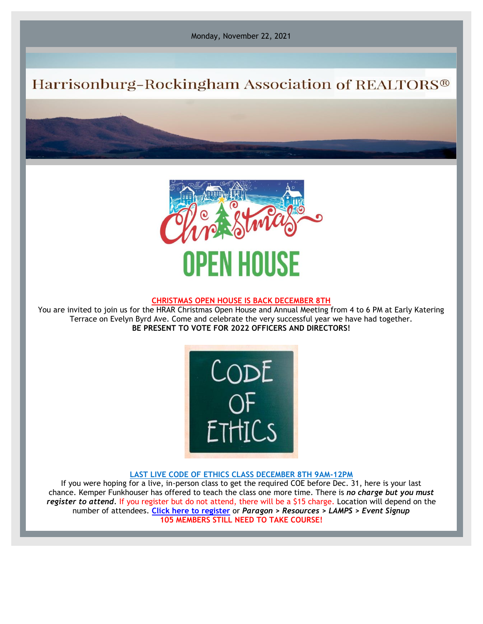Monday, November 22, 2021

# Harrisonburg-Rockingham Association of REALTORS®



#### **CHRISTMAS OPEN HOUSE IS BACK DECEMBER 8TH**

You are invited to join us for the HRAR Christmas Open House and Annual Meeting from 4 to 6 PM at Early Katering Terrace on Evelyn Byrd Ave. Come and celebrate the very successful year we have had together. **BE PRESENT TO VOTE FOR 2022 OFFICERS AND DIRECTORS!**



#### **LAST LIVE CODE OF ETHICS CLASS DECEMBER 8TH 9AM-12PM**

If you were hoping for a live, in-person class to get the required COE before Dec. 31, here is your last chance. Kemper Funkhouser has offered to teach the class one more time. There is *no charge but you must register to attend.* If you register but do not attend, there will be a \$15 charge. Location will depend on the number of attendees. **[Click here to register](https://r20.rs6.net/tn.jsp?f=001gGnJZncrCGWrfbRwd1PMKLZt4e0KdTEyXeo_5Uv05M1ISvcpYMBRnyaUy4UnxCJm3TBSQfGWhv8ji1TLeQ_StSaT7cnNgy2CeHyyyhQmbAeHw93CZIgaeE5Q4miUUTD6nslBD-cyRGzUssiFCs1XnA==&c=L9zaOtvkWzIdGy0uIXuk46C0MN6xIlx5keKnEhzlhqZj-wJ0BIeRmA==&ch=EZJbRhEjsKqVAk_qCkUyy4Lc8mb7SkPhysNNbCtDgxBaJWgx0YyNVw==)** or *Paragon > Resources > LAMPS > Event Signup* **105 MEMBERS STILL NEED TO TAKE COURSE!**